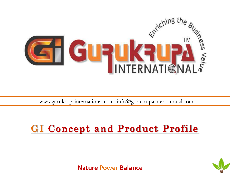

www.gurukrupainternational.com info@gurukrupainternational.com

# **GI Concept and Product Profile**

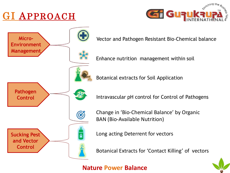# GI APPROACH





Vector and Pathogen Resistant Bio-Chemical balance

Enhance nutrition management within soil

Botanical extracts for Soil Application

Intravascular pH control for Control of Pathogens

Change in 'Bio-Chemical Balance' by Organic BAN (Bio-Available Nutrition)

Long acting Deterrent for vectors

Botanical Extracts for 'Contact Killing' of vectors

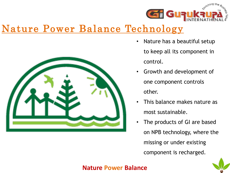

# Nature Power Balance Technology



- Nature has a beautiful setup to keep all its component in control.
- Growth and development of one component controls other.
- This balance makes nature as most sustainable.
- The products of GI are based on NPB technology, where the missing or under existing component is recharged.

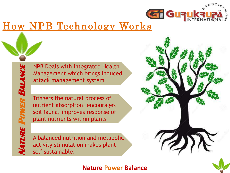

 $\mathbf{Z}$ 

# How NPB Technology Works

NPB Deals with Integrated Health Management which brings induced attack management system

Triggers the natural process of nutrient absorption, encourages soil fauna, improves response of plant nutrients within plants

A balanced nutrition and metabolic activity stimulation makes plant self sustainable.

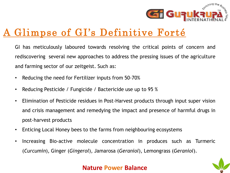

# A Glimpse of GI's Definitive Forté

GI has meticulously laboured towards resolving the critical points of concern and rediscovering several new approaches to address the pressing issues of the agriculture and farming sector of our zeitgeist. Such as:

- Reducing the need for Fertilizer inputs from 50-70%
- Reducing Pesticide / Fungicide / Bactericide use up to 95 %
- Elimination of Pesticide residues in Post-Harvest products through input super vision and crisis management and remedying the impact and presence of harmful drugs in post-harvest products
- Enticing Local Honey bees to the farms from neighbouring ecosystems
- Increasing Bio-active molecule concentration in produces such as Turmeric (*Curcumin*), Ginger (*Gingerol*), Jamarosa (*Geraniol*), Lemongrass (*Geraniol*).

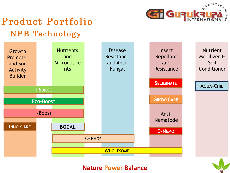

# Product Portfolio

# NPB Technology



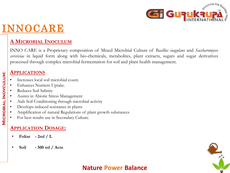

# INNOCARE

### **A MICROBIAL INOCULUM**

INNO CARE is a Proprietary composition of Mixed Microbial Culture of *Bacillus coagulans* and *Saccharomyces cerevisiae* in liquid form along with bio-chemicals, metabolites, plant extracts, sugars and sugar derivatives processed through complex microbial fermentation for soil and plant health management.

#### **APPLICATIONS**

- Increases local soil microbial count.
- Enhances Nutrient Uptake.
- Reduces Soil Salinity
- Assists in Abiotic Stress Management
- Aids Soil Conditioning through microbial activity
- Develops induced resistance in plants
- Amplification of natural Regulations of plant growth substances
- For best results use in Secondary Culture.

### **APPLICATION DOSAGE:**

- **Foliar - 2ml / L**
- **Soil - 500 ml / Acre**

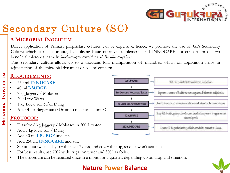

## **A MICROBIAL INOCULUM**

Direct application of Primary proprietary cultures can be expensive, hence, we promote the use of GI's Secondary Culture which is made on site, by utilising basic nutritive supplements and INNOCARE - a consortium of two beneficial microbes, namely *Saccharomyces cerevisiae* and *Bacillus coagulans*.

This secondary culture allows up to a thousand-fold multiplication of microbes, which on application helps in rejuvenation of the microbial dynamics of soil of concern.

### **REQUIREMENTS:**

- 250 ml **INNOCARE**
- 40 ml **I-SURGE**
- 8 kg Jaggery / Molasses
- 200 Litre Water

**Microbial Inovculum:**

**MICROBIAL INOVCULUM:** 

- 1 kg Local soil &/or Dung
- A 200L or Bigger tank/Drum to make and store SC.

# **PROTOCOL:**

- Dissolve 8 kg Jaggery / Molasses in 200 L water.
- Add 1 kg local soil / Dung.
- Add 40 ml **I-SURGE** and stir.
- Add 250 ml **INNOCARE** and stir.
- Stir at least twice a day for the next 7 days, and cover the top, so dust won't settle in.
- For best results, use 70% with irrigation water and 30% as foliar.
- The procedure can be repeated once in a month or a quarter, depending up on crop and situation.



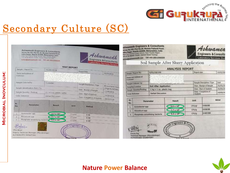



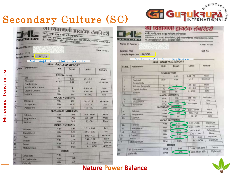|                | <b>BF2.</b><br><b>ORATOR</b>                 | श्रा चिंतामणी हायटेक लेबॉरेटरी<br>माती, पाणी, पान व देठ परिक्षण प्रयोगशाळा<br>उद्योग भवन, ३ रा मजला, कॅनरा बॅंकेचेवर, मुंबई-आधा सर्व्हिसरोड, पिंपळगांव (बसवंत) नाशिक. |          |                       |               |
|----------------|----------------------------------------------|-----------------------------------------------------------------------------------------------------------------------------------------------------------------------|----------|-----------------------|---------------|
|                | <b>Name Of Farmer</b>                        |                                                                                                                                                                       |          |                       |               |
|                |                                              |                                                                                                                                                                       |          |                       | Crop: - Grape |
|                | Lab No: 2328<br>Sample Report on :- 14/02/18 |                                                                                                                                                                       |          |                       |               |
|                |                                              | Soil Sample Before Slurry Application                                                                                                                                 |          |                       |               |
|                |                                              | SOIL ANALYSIS REPORT                                                                                                                                                  |          |                       |               |
| Sr.No.         | Parameters                                   | Unit                                                                                                                                                                  |          |                       |               |
|                |                                              |                                                                                                                                                                       | Result   | Limits                | Remark        |
|                |                                              | <b>GENERAL TESTS</b>                                                                                                                                                  |          |                       |               |
| 1.             | pH                                           |                                                                                                                                                                       | 8.03     | $6.51 - 7.5$          | Alkali        |
| 2 <sup>1</sup> | <b>Electrical</b>                            | $dSm^{-1}$                                                                                                                                                            | 0.72     | <1.0                  | Optimum       |
|                | Conductivity                                 |                                                                                                                                                                       |          |                       |               |
| 31             | Calcium Carbonate                            | %                                                                                                                                                                     | A        | $1.01 - 3.0$          | More          |
| 43             | <b>Organic Carbon</b>                        | 96                                                                                                                                                                    | 1.79     | $1.01 - 2.0$          | Optimum       |
| 51             | Sodium                                       | <b>PPM</b>                                                                                                                                                            | 671      | $0 - 1000$            | Safe          |
|                |                                              | <b>MAJOR NUTRIENTS</b>                                                                                                                                                |          |                       |               |
| 6.             | Nitrogen                                     | PPM                                                                                                                                                                   | 190      | $181 - 220$           | Optimum       |
| 7.             | <b>Phosphorus</b>                            | <b>PPM</b>                                                                                                                                                            | 49.37    | $51 - 75$             | Less          |
| 8.             | Potassium                                    | PPM                                                                                                                                                                   | 203      | $451 - 600$           | Less          |
|                |                                              | <b>SECONDARY NUTRIENTS</b>                                                                                                                                            |          |                       |               |
| 9.             | Calcium                                      | PPM                                                                                                                                                                   | 7345     | 1001 - 1500           | More          |
| 10.            | <b>Magnesium</b>                             | PPM                                                                                                                                                                   | 1732     | $501 - 750$           | More          |
| 11.            | Sulphur                                      | PPM                                                                                                                                                                   | 64.8     | $21 - 50$             | More          |
|                |                                              | <b>MICRO NUTRIENTS</b>                                                                                                                                                |          |                       |               |
| 12.            | Ferrous                                      | PPM                                                                                                                                                                   | 1.19     | $2.51 - 5.00$         | Less.         |
| 13.            | Manganese                                    | PPM                                                                                                                                                                   | 0.89     | $2.01 - 5.00$         | Less          |
| 14             | Zinc                                         | <b>PPM</b>                                                                                                                                                            | 2.27     | $2.01 - 4.00$         | Optimum       |
| 15.            | Copper                                       | <b>PPM</b>                                                                                                                                                            | 2.46     | $0.41 - 1.00$         | More          |
| 16             | Boron                                        | PPM                                                                                                                                                                   | 0.41     | $0 - 0.50$            | Optimum       |
| 12             | Malybdenum                                   | <b>PPM</b>                                                                                                                                                            | 0.08     | 0.50<br>$\bf{D}$<br>× | Optimum       |
|                |                                              | <b>OTHER</b>                                                                                                                                                          |          |                       |               |
| 18             |                                              | PPM                                                                                                                                                                   | $\alpha$ |                       |               |
|                | Carbonate                                    | <b>PPM</b>                                                                                                                                                            | 528      |                       |               |
| 19.<br>20      | <b>BI-Carbonate</b>                          |                                                                                                                                                                       | 975      |                       |               |
|                | <b>S. P. L. P. R.</b>                        | <b>PPM</b>                                                                                                                                                            |          |                       |               |

**PPM** 



#### श्रा चितीमणी हायटक लॅबारेटरी माती, पाणी, पान व देठ परिक्षण प्रयोगशाळा उद्योग भवन, ३ था मजला, कॅनरा बॅंकेवेवर, मुंबई-आग्रा सर्व्हिसरोड, विंदळगांव (ब्रसवंत) नाशिक. मी.: 9960010707 फोन : (02550) 250511

Name Of Farmer:

Lab No:- 959

Crop:- Grape

Gat No-

Sample Report on :- 26/9/18

Soil Sample After Slurry Application

| Sr.No.         | <b>Parameters</b>          | Unit                        | Result           | Limits              | Remark         |          |  |
|----------------|----------------------------|-----------------------------|------------------|---------------------|----------------|----------|--|
|                |                            | <b>GENERAL TESTS</b>        |                  |                     |                |          |  |
| n.             | <b>DIFE</b>                | ٠                           | 8.20             | $6-51 - 75$         | Alkali         |          |  |
| $\overline{2}$ | Electrical<br>Conductivity | dSen <sup>1</sup>           | 0.68             | 410                 | <b>Optimum</b> |          |  |
| 3.             | <b>Calcium Carbonate</b>   | 製                           | 宜                | $1.01 - 3.0$        | More           |          |  |
| 4.             | Organic Carbon             | $\overline{\mathbf{w}}$     | 2.14             | $1.01 - 2.0$        | More           |          |  |
| K.             | Sodium                     | PPM                         | 587              | $0 - 1000$          | Safe           |          |  |
|                |                            | <b>MAJOR NUTRIENTS</b>      |                  |                     |                |          |  |
| a.             | Nitrogen                   | <b>PPM</b>                  | 196              | $181 - 220$         |                | Optimum  |  |
| z              | Phosphorus                 | PPM                         | 43.03            | $51 - 75$           |                | Less     |  |
| 且              | Potassium                  | PPM                         | 440              | 451-600             | Less           |          |  |
|                |                            | <b>SECONDARY</b>            | <b>NUTRIENTS</b> |                     |                |          |  |
| 9.             | <b>Calcium</b>             | PPM                         | 5337             | $1001 - 1500$       |                | More     |  |
| 10.            | Magnesium                  | PPM<br>◀                    | 1928             | $501 - 750$         |                | More     |  |
| 11.            | Sulphur                    | ррзи                        | 23               | $21 - 50$           | Less           |          |  |
|                |                            | MICRO NUTRIENTS             |                  |                     |                |          |  |
|                | Ferrout                    | <b>PPM</b>                  | 4.70             | $2.51 - 5.00$<br>IÞ | Optimum        |          |  |
| 12.            |                            | PPM                         | 2.91             | $2.01 - 5.00$<br>n  |                | Optimum  |  |
| 13.            | Manganese                  | PPM                         | 2.39             | $2.01 - 4.00$<br>n  |                | Optimuum |  |
| 14.            | Zinc:                      | PPM                         | 2.50             | $0.41 - 1.00$       |                | More     |  |
| 15.            | Copper                     | <b>PPM</b>                  | 0.32             | $0 - 0.50$          |                | Optimum  |  |
| 16             | Boron                      | PPM                         | 0.06             | $0 - 0.50$          |                | Optimum  |  |
| 17             | Molybdenum                 |                             |                  |                     |                |          |  |
|                |                            |                             | <b>OTHER</b>     |                     |                | More     |  |
|                | <b>Bi-Carbonate</b>        | Less Than 350<br>594<br>PPM |                  |                     |                |          |  |
|                | Chloride                   | PPM                         | 300              | Less Than 350       | Optimum        |          |  |

### **Nature Power Balance**



20.

Chloride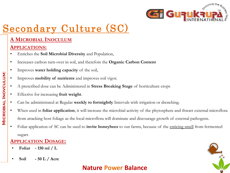

## **A MICROBIAL INOCULUM**

### **APPLICATIONS:**

- Enriches the **Soil Microbial Diversity** and Population,
- Increases carbon turn-over in soil, and therefore the **Organic Carbon Content**
- Improves **water holding capacity** of the soil,
- Improves **mobility of nutrients** and improves soil vigor.
- A prescribed dose can be Administered in **Stress Breaking Stage** of horticulture crops
- Effective for increasing **fruit weight**.
- Can be administrated at Regular **weekly to fortnightly** Intervals with irrigation or drenching.
- When used in **foliar application**, it will increase the microbial activity of the phytosphere and thwart external microflora from attacking host foliage as the local microflora will dominate and discourage growth of external pathogens.
- Foliar application of SC can be used to **invite honeybees** to our farms, because of the enticing smell from fermented sugars

### **APPLICATION DOSAGE:**

- **Foliar - 150 ml / L**
- **Soil - 50 L / Acre**

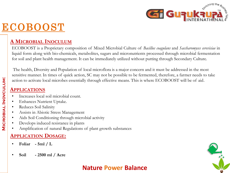

# ECOBOOST

### **A MICROBIAL INOCULUM**

ECOBOOST is a Proprietary composition of Mixed Microbial Culture of *Bacillus coagulans* and *Saccharomyces cerevisiae* in liquid form along with bio-chemicals, metabolites, sugars and micronutrients processed through microbial fermentation for soil and plant health management. It can be immediately utilized without putting through Secondary Culture.

The health, Diversity and Population of local microflora is a major concern and it must be addressed in the most sensitive manner. In times of quick action, SC may not be possible to be fermented, therefore, a farmer needs to take action to activate local microbes essentially through effective means. This is where ECOBOOST will be of aid.

#### **APPLICATIONS**

- Increases local soil microbial count.
- Enhances Nutrient Uptake.
- Reduces Soil Salinity
- Assists in Abiotic Stress Management
- Aids Soil Conditioning through microbial activity
- Develops induced resistance in plants
- Amplification of natural Regulations of plant growth substances

#### **APPLICATION DOSAGE:**

- **Foliar - 5ml / L**
- **Soil - 2500 ml / Acre**

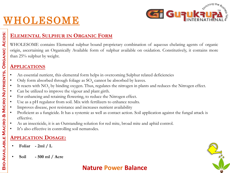

# WHOLESOME

# **ELEMENTAL SULPHUR IN ORGANIC FORM**

WHOLESOME contains Elemental sulphur bound proprietary combination of aqueous chelating agents of organic origin, ascertaining an Organically Available form of sulphur available on oxidation. Constitutively, it contains more than 25% sulphur by weight.

#### **APPLICATIONS**

- An essential nutrient, this elemental form helps in overcoming Sulphur related deficiencies
- Only form absorbed through foliage as  $SO_4$  cannot be absorbed by leaves.
- $\bullet$  It reacts with  $NO_3$  by binding oxygen. Thus, regulates the nitrogen in plants and reduces the Nitrogen effect.
- Can be utilized to improve the vigour and plant girth.
- For enhancing and retaining flowering, to reduce the Nitrogen effect.
- Use as a pH regulator from soil. Mix with fertilizers to enhance results.
- Improves disease, pest resistance and increases nutrient availability
- Proficient as a fungicide. It has a systemic as well as contact action. Soil application against the fungal attack is effective.
- As an insecticide, it is an Outstanding solution for red mite, broad mite and aphid control.
- It's also effective in controlling soil nematodes.

### **APPLICATION DOSAGE:**

- **Foliar - 2ml / L**
- **Soil - 500 ml / Acre**

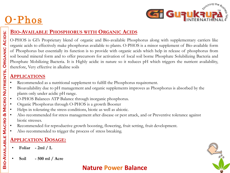# O-Phos



#### **BIO-AVAILABLE PHOSPHORUS WITH ORGANIC ACIDS**

O-PHOS is GI's Proprietary blend of organic and Bio-available Phosphorus along with supplementary carriers like organic acids to effectively make phosphorus available to plants. O-PHOS is a minor supplement of Bio-available form of Phosphorus but essentially its function is to provide with organic acids which help in release of phosphorus from soil bound mineral form and to offer precursors for activation of local soil borne Phosphate Solubilizing Bacteria and Phosphate Mobilizing Bacteria. It is Highly acidic in nature so it reduces pH which triggers the nutrient availability, therefore, Very effective in alkaline soils

### **APPLICATIONS**

- Recommended as a nutritional supplement to fulfill the Phosphorus requirement.
- Bioavailability due to pH management and organic supplements improves as Phosphorus is absorbed by the plants only under acidic pH range.
- O-PHOS Balances ATP Balance through inorganic phosphorus.
- Organic Phosphorus through O-PHOS is a growth Booster
- Helps in tolerating the stress conditions, biotic as well as abiotic.
- Also recommended for stress management after disease or pest attack, and or Preventive tolerance against biotic stresses.
- Recommended for reproductive growth boosting, flowering, fruit setting, fruit development.
- Also recommended to trigger the process of stress breaking.

## **APPLICATION DOSAGE:**

- **Foliar - 2ml / L**
- **Soil - 500 ml / Acre**

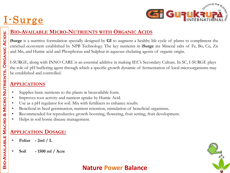# I -Surge



### **BIO-AVAILABLE MICRO-NUTRIENTS WITH ORGANIC ACIDS**

**iSurge** is a nutritive formulation specially designed by **GI** to augment a healthy life cycle of plants to compliment the enriched ecosystem established by NPB Technology. The key nutrients in **iSurge** are Mineral salts of Fe, Bo, Cu, Zn and Mn, and Humic acid and Phosphorus and Sulphur in aqueous chelating agents of organic origin.

I-SURGE, along with INNO CARE is an essential additive in making IEC's Secondary Culture. In SC, I-SURGE plays the role of pH buffering agent through which a specific growth dynamic of fermentation of local microorganisms may be established and controlled.

#### **APPLICATIONS**

**Bio-Available Macro & Micro Nutrients, Organic Acids:**

BIO-AVAILABLE MACRO & MICRO NUTRIENTS, ORGANIC ACIDS:

- Supplies basic nutrients to the plants in bioavailable form.
- Improves root activity and nutrient uptake by Humic Acid.
- Use as a pH regulator for soil. Mix with fertilizers to enhance results.
- Beneficial in Seed germination, nutrient retention, stimulation of beneficial organisms.
- Recommended for reproductive growth boosting, flowering, fruit setting, fruit development.
- Helps in soil borne disease management.

# **APPLICATION DOSAGE:**

- **Foliar - 2ml / L**
- **Soil - 1500 ml / Acre**

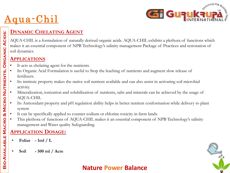

# Aqua-Chil

# **DYNAMIC CHELATING AGENT**

AQUA-CHIL is a formulation of naturally derived organic acids. AQUA-CHIL exhibits a plethora of functions which makes it an essential component of NPB Technology's salinity management Package of Practices and restoration of soil dynamics.

#### **APPLICATIONS**

- It acts as chelating agent for the nutrients.
- Its Organic Acid Formulation is useful to Stop the leaching of nutrients and augment slow release of fertilizers.
- Its intrinsic property makes the native soil nutrient available and can also assist in activating soil microbial activity.
- Mineralization, ionization and solubilization of nutrients, salts and minerals can be achieved by the usage of AQUA-CHIL
- Its Antioxidant property and pH regulation ability helps in better nutrient conformation while delivery to plant system
- It can be specifically applied to counter sodium or chlorine toxicity in farm lands.
- This plethora of functions of AQUA-CHIL makes it an essential component of NPB Technology's salinity management and Water quality Safeguarding.

### **APPLICATION DOSAGE:**

- **Foliar - 1ml / L**
- **Soil - 500 ml / Acre**

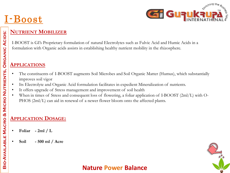# <u>I-Boost</u>



#### **NUTRIENT MOBILIZER**

I-BOOST is GI's Proprietary formulation of natural Electrolytes such as Fulvic Acid and Humic Acids in a formulation with Organic acids assists in establishing healthy nutrient mobility in the rhizosphere.

#### **APPLICATIONS**

- The constituents of I-BOOST augments Soil Microbes and Soil Organic Matter (Humus), which substantially improves soil vigor
- Its Electrolyte and Organic Acid formulation facilitates in expedient Mineralization of nutrients.
- It offers upgrade of Stress management and improvement of soil health
- When in times of Stress and consequent loss of flowering, a foliar application of I-BOOST (2ml/L) with O-PHOS (2ml/L) can aid in renewal of a newer flower bloom onto the affected plants.

## **APPLICATION DOSAGE:**

- **Foliar - 2ml / L**
- **Soil - 500 ml / Acre**

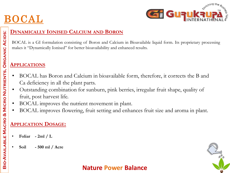



### **DYNAMICALLY IONISED CALCIUM AND BORON**

BOCAL is a GI formulation consisting of Boron and Calcium in Bioavailable liquid form. Its proprietary processing makes it "Dynamically Ionised" for better bioavailability and enhanced results.

### **APPLICATIONS**

- BOCAL has Boron and Calcium in bioavailable form, therefore, it corrects the B and Ca deficiency in all the plant parts.
- Outstanding combination for sunburn, pink berries, irregular fruit shape, quality of fruit, post harvest life.
- BOCAL improves the nutrient movement in plant.
- BOCAL improves flowering, fruit setting and enhances fruit size and aroma in plant.

## **APPLICATION DOSAGE:**

- **Foliar - 2ml / L**
- **Soil - 500 ml / Acre**

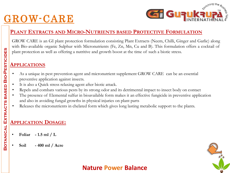# GROW-CARE



#### **PLANT EXTRACTS AND MICRO-NUTRIENTS BASED PROTECTIVE FORMULATION**

GROW CARE is an GI plant protection formulation consisting Plant Extracts (Neem, Chilli, Ginger and Garlic) along with Bio-available organic Sulphur with Micronutrients (Fe, Zn, Mn, Cu and B). This formulation offers a cocktail of plant protection as well as offering a nutritive and growth boost at the time of such a biotic stress.

#### **APPLICATIONS**

- As a unique in pest prevention agent and micronutrient supplement GROW CARE can be an essential preventive application against insects.
- It is also a Quick stress relaxing agent after biotic attack.
- Repels and combats various pests by its strong odor and its detrimental impact to insect body on contact
- The presence of Elemental sulfur in bioavailable form makes it an effective fungicide in preventive application and also in avoiding fungal growths in physical injuries on plant parts
- Releases the micronutrients in chelated form which gives long lasting metabolic support to the plants.

## **APPLICATION DOSAGE:**

- **Foliar - 1.5 ml / L**
- **Soil - 400 ml / Acre**

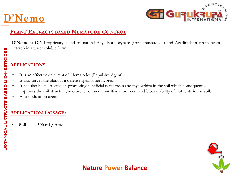# D'Nemo



### **PLANT EXTRACTS BASED NEMATODE CONTROL**

**D'Nemo** is **GI**'s Proprietary blend of natural Allyl Isothiocynate (from mustard oil) and Azadirachtin (from neem extract) in a water soluble form.

#### **APPLICATIONS**

- It is an effective deterrent of Nematodes (Repulsive Agent).
- It also serves the plant as a defense against herbivores.
- It has also been effective in promoting beneficial nematodes and mycorrhiza in the soil which consequently improves the soil structure, micro-environment, nutritive movement and bioavailability of nutrients in the soil.
- Anti nodulation agent

### **APPLICATION DOSAGE:**

• **Soil - 500 ml / Acre** 

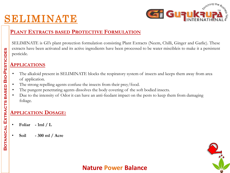# SELIMINATE



#### **PLANT EXTRACTS BASED PROTECTIVE FORMULATION**

SELIMINATE is GI's plant protection formulation consisting Plant Extracts (Neem, Chilli, Ginger and Garlic). These extracts have been activated and its active ingredients have been processed to be water miscibleis to make it a persistent pesticide.

#### **APPLICATIONS**

- The alkaloid present in SELIMINATE blocks the respiratory system of insects and keeps them away from area of application.
- The strong repelling agents confuse the insects from their prey/food.
- The pungent penetrating agents dissolves the body covering of the soft bodied insects.
- Due to the intensity of Odor it can have an anti-feedant impact on the pests to keep them from damaging foliage.

#### **APPLICATION DOSAGE:**

- **Foliar - 1ml / L**
- **Soil - 300 ml / Acre**